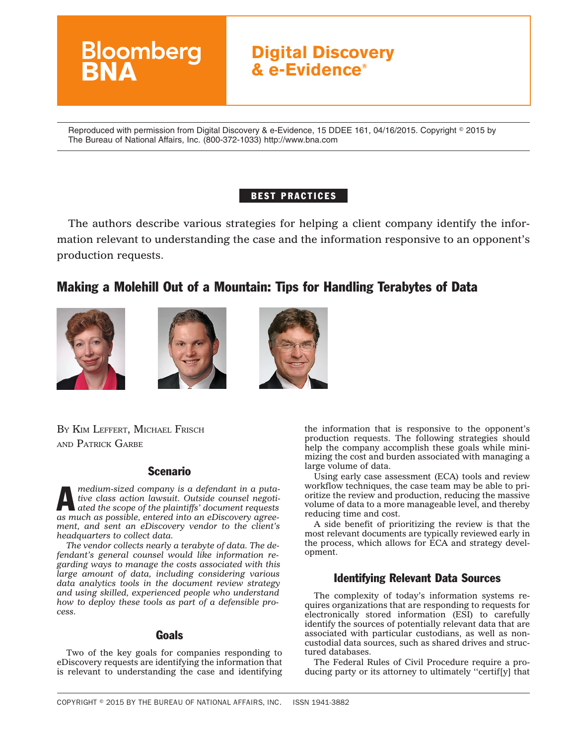

Reproduced with permission from Digital Discovery & e-Evidence, 15 DDEE 161, 04/16/2015. Copyright © 2015 by The Bureau of National Affairs, Inc. (800-372-1033) http://www.bna.com

# BEST PRACTICES

The authors describe various strategies for helping a client company identify the information relevant to understanding the case and the information responsive to an opponent's production requests.

# Making a Molehill Out of a Mountain: Tips for Handling Terabytes of Data







BY KIM LEFFERT, MICHAEL FRISCH AND PATRICK GARBE

#### Scenario

A *medium-sized company is a defendant in a puta-ated the scope of the plaintiffs' document requests tive class action lawsuit. Outside counsel negotias much as possible, entered into an eDiscovery agreement, and sent an eDiscovery vendor to the client's headquarters to collect data.*

*The vendor collects nearly a terabyte of data. The defendant's general counsel would like information regarding ways to manage the costs associated with this large amount of data, including considering various data analytics tools in the document review strategy and using skilled, experienced people who understand how to deploy these tools as part of a defensible process.*

#### Goals

Two of the key goals for companies responding to eDiscovery requests are identifying the information that is relevant to understanding the case and identifying the information that is responsive to the opponent's production requests. The following strategies should help the company accomplish these goals while minimizing the cost and burden associated with managing a large volume of data.

Using early case assessment (ECA) tools and review workflow techniques, the case team may be able to prioritize the review and production, reducing the massive volume of data to a more manageable level, and thereby reducing time and cost.

A side benefit of prioritizing the review is that the most relevant documents are typically reviewed early in the process, which allows for ECA and strategy development.

## Identifying Relevant Data Sources

The complexity of today's information systems requires organizations that are responding to requests for electronically stored information (ESI) to carefully identify the sources of potentially relevant data that are associated with particular custodians, as well as noncustodial data sources, such as shared drives and structured databases.

The Federal Rules of Civil Procedure require a producing party or its attorney to ultimately ''certif[y] that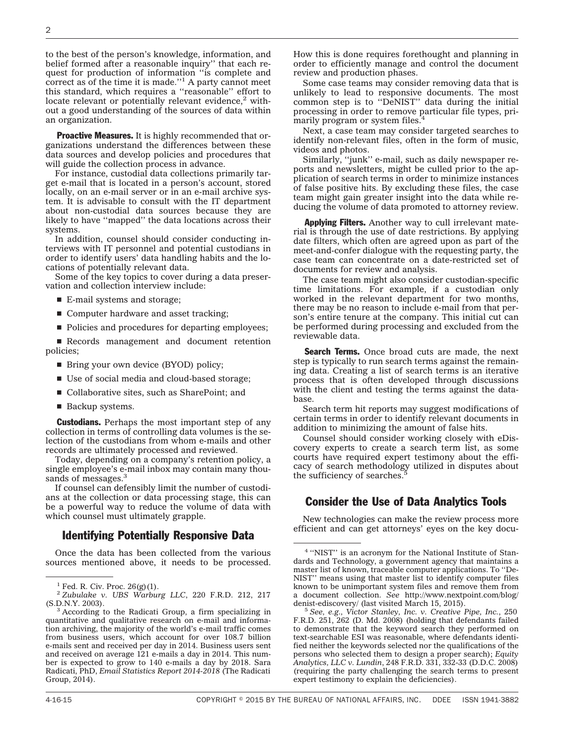to the best of the person's knowledge, information, and belief formed after a reasonable inquiry'' that each request for production of information ''is complete and correct as of the time it is made.''1 A party cannot meet this standard, which requires a ''reasonable'' effort to locate relevant or potentially relevant evidence, $2$  without a good understanding of the sources of data within an organization.

Proactive Measures. It is highly recommended that organizations understand the differences between these data sources and develop policies and procedures that will guide the collection process in advance.

For instance, custodial data collections primarily target e-mail that is located in a person's account, stored locally, on an e-mail server or in an e-mail archive system. It is advisable to consult with the IT department about non-custodial data sources because they are likely to have ''mapped'' the data locations across their systems.

In addition, counsel should consider conducting interviews with IT personnel and potential custodians in order to identify users' data handling habits and the locations of potentially relevant data.

Some of the key topics to cover during a data preservation and collection interview include:

- $\blacksquare$  E-mail systems and storage;
- Computer hardware and asset tracking;
- Policies and procedures for departing employees;

Records management and document retention policies;

- Bring your own device (BYOD) policy;
- $\blacksquare$  Use of social media and cloud-based storage;
- Collaborative sites, such as SharePoint; and
- $\blacksquare$  Backup systems.

**Custodians.** Perhaps the most important step of any collection in terms of controlling data volumes is the selection of the custodians from whom e-mails and other records are ultimately processed and reviewed.

Today, depending on a company's retention policy, a single employee's e-mail inbox may contain many thousands of messages.<sup>3</sup>

If counsel can defensibly limit the number of custodians at the collection or data processing stage, this can be a powerful way to reduce the volume of data with which counsel must ultimately grapple.

## Identifying Potentially Responsive Data

Once the data has been collected from the various sources mentioned above, it needs to be processed.

How this is done requires forethought and planning in order to efficiently manage and control the document review and production phases.

Some case teams may consider removing data that is unlikely to lead to responsive documents. The most common step is to ''DeNIST'' data during the initial processing in order to remove particular file types, primarily program or system files.<sup>4</sup>

Next, a case team may consider targeted searches to identify non-relevant files, often in the form of music, videos and photos.

Similarly, ''junk'' e-mail, such as daily newspaper reports and newsletters, might be culled prior to the application of search terms in order to minimize instances of false positive hits. By excluding these files, the case team might gain greater insight into the data while reducing the volume of data promoted to attorney review.

**Applying Filters.** Another way to cull irrelevant material is through the use of date restrictions. By applying date filters, which often are agreed upon as part of the meet-and-confer dialogue with the requesting party, the case team can concentrate on a date-restricted set of documents for review and analysis.

The case team might also consider custodian-specific time limitations. For example, if a custodian only worked in the relevant department for two months, there may be no reason to include e-mail from that person's entire tenure at the company. This initial cut can be performed during processing and excluded from the reviewable data.

**Search Terms.** Once broad cuts are made, the next step is typically to run search terms against the remaining data. Creating a list of search terms is an iterative process that is often developed through discussions with the client and testing the terms against the database.

Search term hit reports may suggest modifications of certain terms in order to identify relevant documents in addition to minimizing the amount of false hits.

Counsel should consider working closely with eDiscovery experts to create a search term list, as some courts have required expert testimony about the efficacy of search methodology utilized in disputes about the sufficiency of searches.

## Consider the Use of Data Analytics Tools

New technologies can make the review process more efficient and can get attorneys' eyes on the key docu-

 $^5$  See, e.g., Victor Stanley, Inc. v. Creative Pipe, Inc., 250 F.R.D. 251, 262 (D. Md. 2008) (holding that defendants failed to demonstrate that the keyword search they performed on text-searchable ESI was reasonable, where defendants identified neither the keywords selected nor the qualifications of the persons who selected them to design a proper search); *Equity Analytics, LLC v. Lundin*, 248 F.R.D. 331, 332-33 (D.D.C. 2008) (requiring the party challenging the search terms to present expert testimony to explain the deficiencies).

 $1$  Fed. R. Civ. Proc. 26(g)(1).

<sup>2</sup> *Zubulake v. UBS Warburg LLC*, 220 F.R.D. 212, 217

 $3$  According to the Radicati Group, a firm specializing in quantitative and qualitative research on e-mail and information archiving, the majority of the world's e-mail traffic comes from business users, which account for over 108.7 billion e-mails sent and received per day in 2014. Business users sent and received on average 121 e-mails a day in 2014. This number is expected to grow to 140 e-mails a day by 2018. Sara Radicati, PhD, *Email Statistics Report 2014-2018* (The Radicati Group, 2014).

<sup>&</sup>lt;sup>4</sup> "NIST" is an acronym for the National Institute of Standards and Technology, a government agency that maintains a master list of known, traceable computer applications. To ''De-NIST'' means using that master list to identify computer files known to be unimportant system files and remove them from a document collection. *See* [http://www.nextpoint.com/blog/](http://www.nextpoint.com/blog/denist-ediscovery/)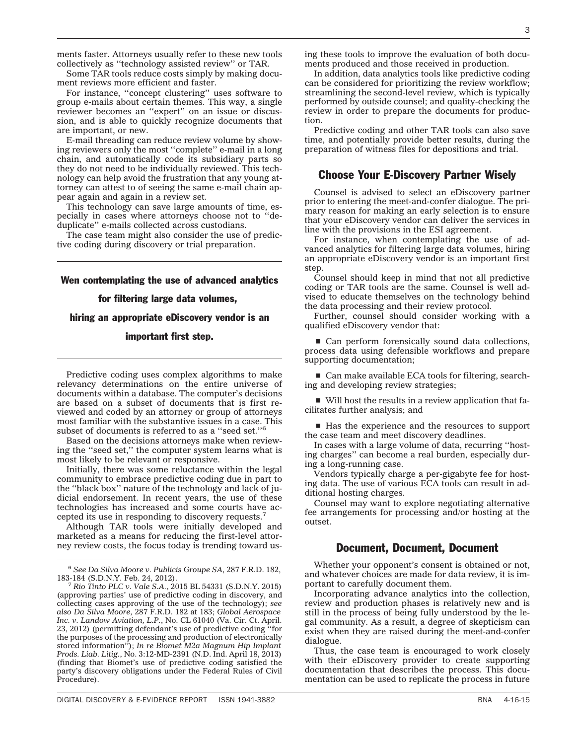ments faster. Attorneys usually refer to these new tools collectively as ''technology assisted review'' or TAR.

Some TAR tools reduce costs simply by making document reviews more efficient and faster.

For instance, ''concept clustering'' uses software to group e-mails about certain themes. This way, a single reviewer becomes an ''expert'' on an issue or discussion, and is able to quickly recognize documents that are important, or new.

E-mail threading can reduce review volume by showing reviewers only the most ''complete'' e-mail in a long chain, and automatically code its subsidiary parts so they do not need to be individually reviewed. This technology can help avoid the frustration that any young attorney can attest to of seeing the same e-mail chain appear again and again in a review set.

This technology can save large amounts of time, especially in cases where attorneys choose not to ''deduplicate'' e-mails collected across custodians.

The case team might also consider the use of predictive coding during discovery or trial preparation.

#### Wen contemplating the use of advanced analytics

for filtering large data volumes,

hiring an appropriate eDiscovery vendor is an

#### important first step.

Predictive coding uses complex algorithms to make relevancy determinations on the entire universe of documents within a database. The computer's decisions are based on a subset of documents that is first reviewed and coded by an attorney or group of attorneys most familiar with the substantive issues in a case. This subset of documents is referred to as a "seed set."<br> $\!6$ 

Based on the decisions attorneys make when reviewing the ''seed set,'' the computer system learns what is most likely to be relevant or responsive.

Initially, there was some reluctance within the legal community to embrace predictive coding due in part to the ''black box'' nature of the technology and lack of judicial endorsement. In recent years, the use of these technologies has increased and some courts have accepted its use in responding to discovery requests.7

Although TAR tools were initially developed and marketed as a means for reducing the first-level attorney review costs, the focus today is trending toward us-

DIGITAL DISCOVERY & E-EVIDENCE REPORT ISSN 1941-3882 BNA 4-16-15

ing these tools to improve the evaluation of both documents produced and those received in production.

In addition, data analytics tools like predictive coding can be considered for prioritizing the review workflow; streamlining the second-level review, which is typically performed by outside counsel; and quality-checking the review in order to prepare the documents for production.

Predictive coding and other TAR tools can also save time, and potentially provide better results, during the preparation of witness files for depositions and trial.

# Choose Your E-Discovery Partner Wisely

Counsel is advised to select an eDiscovery partner prior to entering the meet-and-confer dialogue. The primary reason for making an early selection is to ensure that your eDiscovery vendor can deliver the services in line with the provisions in the ESI agreement.

For instance, when contemplating the use of advanced analytics for filtering large data volumes, hiring an appropriate eDiscovery vendor is an important first step.

Counsel should keep in mind that not all predictive coding or TAR tools are the same. Counsel is well advised to educate themselves on the technology behind the data processing and their review protocol.

Further, counsel should consider working with a qualified eDiscovery vendor that:

 $\blacksquare$  Can perform forensically sound data collections, process data using defensible workflows and prepare supporting documentation;

 $\blacksquare$  Can make available ECA tools for filtering, searching and developing review strategies;

 $\blacksquare$  Will host the results in a review application that facilitates further analysis; and

 $\blacksquare$  Has the experience and the resources to support the case team and meet discovery deadlines.

In cases with a large volume of data, recurring ''hosting charges'' can become a real burden, especially during a long-running case.

Vendors typically charge a per-gigabyte fee for hosting data. The use of various ECA tools can result in additional hosting charges.

Counsel may want to explore negotiating alternative fee arrangements for processing and/or hosting at the outset.

#### Document, Document, Document

Whether your opponent's consent is obtained or not, and whatever choices are made for data review, it is important to carefully document them.

Incorporating advance analytics into the collection, review and production phases is relatively new and is still in the process of being fully understood by the legal community. As a result, a degree of skepticism can exist when they are raised during the meet-and-confer dialogue.

Thus, the case team is encouraged to work closely with their eDiscovery provider to create supporting documentation that describes the process. This documentation can be used to replicate the process in future

<sup>6</sup> *See Da Silva Moore v. Publicis Groupe SA*, 287 F.R.D. 182,

<sup>&</sup>lt;sup>7</sup> Rio Tinto PLC v. Vale S.A., 2015 BL 54331 (S.D.N.Y. 2015). (approving parties' use of predictive coding in discovery, and collecting cases approving of the use of the technology); *see also Da Silva Moore*, 287 F.R.D. 182 at 183; *Global Aerospace Inc. v. Landow Aviation, L.P.*, No. CL 61040 (Va. Cir. Ct. April. 23, 2012) (permitting defendant's use of predictive coding ''for the purposes of the processing and production of electronically stored information''); *In re Biomet M2a Magnum Hip Implant Prods. Liab. Litig.*, No. 3:12-MD-2391 (N.D. Ind. April 18, 2013) (finding that Biomet's use of predictive coding satisfied the party's discovery obligations under the Federal Rules of Civil Procedure).